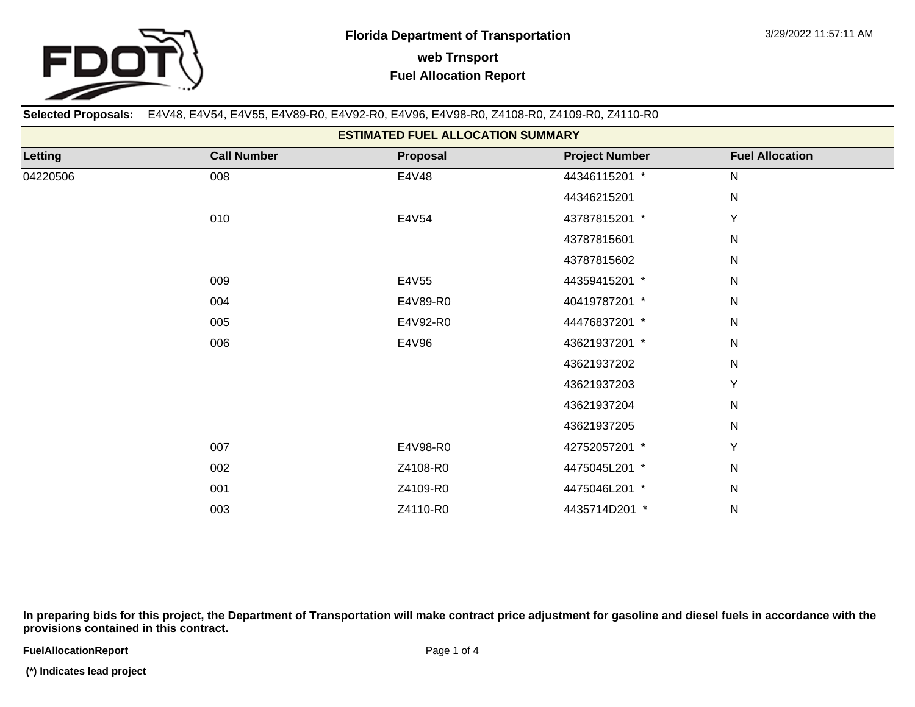

**Selected Proposals:** E4V48, E4V54, E4V55, E4V89-R0, E4V92-R0, E4V96, E4V98-R0, Z4108-R0, Z4109-R0, Z4110-R0

| <b>ESTIMATED FUEL ALLOCATION SUMMARY</b> |                    |          |                       |                        |  |  |  |  |  |
|------------------------------------------|--------------------|----------|-----------------------|------------------------|--|--|--|--|--|
| Letting                                  | <b>Call Number</b> | Proposal | <b>Project Number</b> | <b>Fuel Allocation</b> |  |  |  |  |  |
| 04220506                                 | 008                | E4V48    | 44346115201 *         | N                      |  |  |  |  |  |
|                                          |                    |          | 44346215201           | N                      |  |  |  |  |  |
|                                          | 010                | E4V54    | 43787815201 *         | Y                      |  |  |  |  |  |
|                                          |                    |          | 43787815601           | $\mathsf{N}$           |  |  |  |  |  |
|                                          |                    |          | 43787815602           | $\mathsf{N}$           |  |  |  |  |  |
|                                          | 009                | E4V55    | 44359415201 *         | $\mathsf{N}$           |  |  |  |  |  |
|                                          | 004                | E4V89-R0 | 40419787201 *         | $\mathsf{N}$           |  |  |  |  |  |
|                                          | 005                | E4V92-R0 | 44476837201 *         | $\mathsf{N}$           |  |  |  |  |  |
|                                          | 006                | E4V96    | 43621937201 *         | $\mathsf{N}$           |  |  |  |  |  |
|                                          |                    |          | 43621937202           | N                      |  |  |  |  |  |
|                                          |                    |          | 43621937203           | Y                      |  |  |  |  |  |
|                                          |                    |          | 43621937204           | N                      |  |  |  |  |  |
|                                          |                    |          | 43621937205           | N                      |  |  |  |  |  |
|                                          | 007                | E4V98-R0 | 42752057201 *         | Y                      |  |  |  |  |  |
|                                          | 002                | Z4108-R0 | 4475045L201 *         | $\mathsf{N}$           |  |  |  |  |  |
|                                          | 001                | Z4109-R0 | 4475046L201 *         | N                      |  |  |  |  |  |
|                                          | 003                | Z4110-R0 | 4435714D201 *         | N                      |  |  |  |  |  |

**In preparing bids for this project, the Department of Transportation will make contract price adjustment for gasoline and diesel fuels in accordance with the provisions contained in this contract.**

**FuelAllocationReport**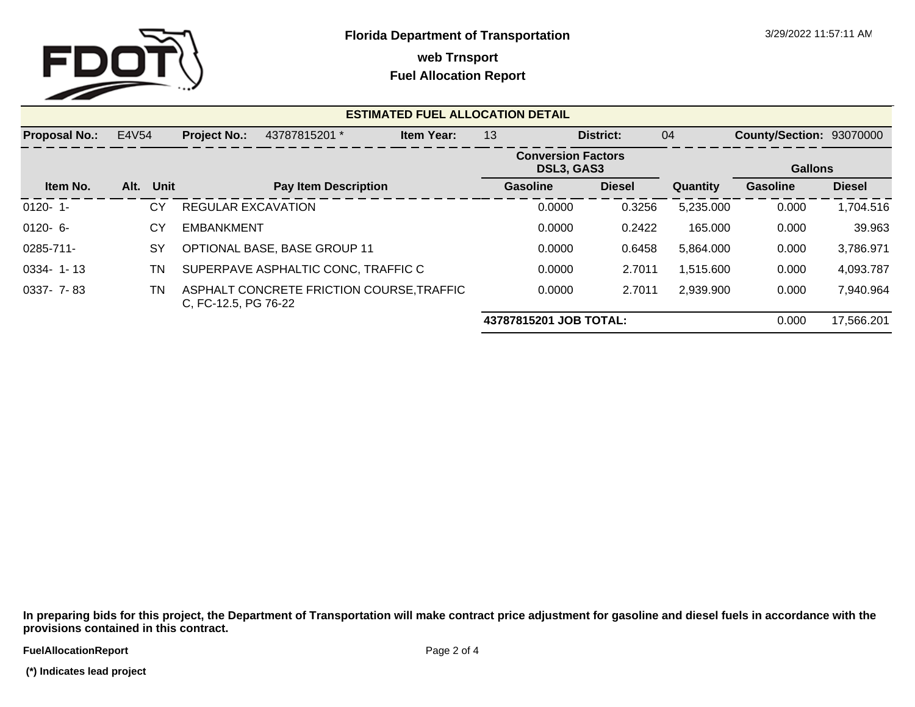

**web Trnsport**

## **Fuel Allocation Report**

| <b>ESTIMATED FUEL ALLOCATION DETAIL</b> |              |                           |                                           |                   |                                         |        |               |           |                          |               |
|-----------------------------------------|--------------|---------------------------|-------------------------------------------|-------------------|-----------------------------------------|--------|---------------|-----------|--------------------------|---------------|
| <b>Proposal No.:</b>                    | E4V54        | <b>Project No.:</b>       | 43787815201 *                             | <b>Item Year:</b> | 13                                      |        | District:     | 04        | County/Section: 93070000 |               |
|                                         |              |                           |                                           |                   | <b>Conversion Factors</b><br>DSL3, GAS3 |        |               |           | <b>Gallons</b>           |               |
| Item No.                                | Unit<br>Alt. |                           | <b>Pay Item Description</b>               |                   | <b>Gasoline</b>                         |        | <b>Diesel</b> | Quantity  | <b>Gasoline</b>          | <b>Diesel</b> |
| $0120 - 1$                              | СY           | <b>REGULAR EXCAVATION</b> |                                           |                   |                                         | 0.0000 | 0.3256        | 5,235.000 | 0.000                    | 1,704.516     |
| $0120 - 6 -$                            | СY           | <b>EMBANKMENT</b>         |                                           |                   |                                         | 0.0000 | 0.2422        | 165.000   | 0.000                    | 39.963        |
| 0285-711-                               | <b>SY</b>    |                           | <b>OPTIONAL BASE, BASE GROUP 11</b>       |                   |                                         | 0.0000 | 0.6458        | 5,864.000 | 0.000                    | 3,786.971     |
| $0334 - 1 - 13$                         | TN           |                           | SUPERPAVE ASPHALTIC CONC, TRAFFIC C       |                   |                                         | 0.0000 | 2.7011        | 1,515.600 | 0.000                    | 4,093.787     |
| 0337- 7-83                              | TN.          | C, FC-12.5, PG 76-22      | ASPHALT CONCRETE FRICTION COURSE, TRAFFIC |                   |                                         | 0.0000 | 2.7011        | 2,939.900 | 0.000                    | 7,940.964     |
|                                         |              |                           |                                           |                   | 43787815201 JOB TOTAL:<br>0.000         |        |               |           |                          | 17,566.201    |

**In preparing bids for this project, the Department of Transportation will make contract price adjustment for gasoline and diesel fuels in accordance with the provisions contained in this contract.**

**FuelAllocationReport**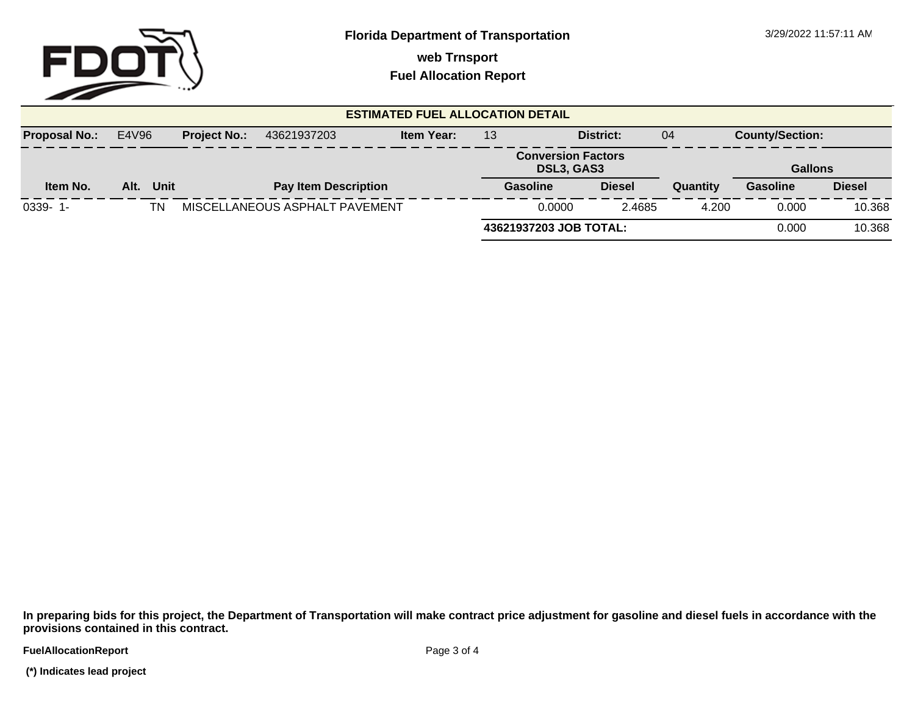

**web Trnsport**

**Fuel Allocation Report**

| <b>ESTIMATED FUEL ALLOCATION DETAIL</b> |                                                                  |      |    |                                |           |                                         |                        |               |          |                 |                |
|-----------------------------------------|------------------------------------------------------------------|------|----|--------------------------------|-----------|-----------------------------------------|------------------------|---------------|----------|-----------------|----------------|
| <b>Proposal No.:</b>                    | E4V96<br><b>Item Year:</b><br><b>Project No.:</b><br>43621937203 |      | 13 |                                | District: | 04                                      | <b>County/Section:</b> |               |          |                 |                |
|                                         |                                                                  |      |    |                                |           | <b>Conversion Factors</b><br>DSL3, GAS3 |                        |               |          |                 | <b>Gallons</b> |
| Item No.                                | Alt.                                                             | Unit |    | <b>Pay Item Description</b>    |           |                                         | Gasoline               | <b>Diesel</b> | Quantity | <b>Gasoline</b> | <b>Diesel</b>  |
| $0339 - 1$                              |                                                                  | ΤN   |    | MISCELLANEOUS ASPHALT PAVEMENT |           |                                         | 0.0000                 | 2.4685        | 4.200    | 0.000           | 10.368         |
|                                         |                                                                  |      |    |                                |           | 43621937203 JOB TOTAL:                  |                        |               |          | 0.000           | 10.368         |

**In preparing bids for this project, the Department of Transportation will make contract price adjustment for gasoline and diesel fuels in accordance with the provisions contained in this contract.**

**FuelAllocationReport** 

 **(\*) Indicates lead project**